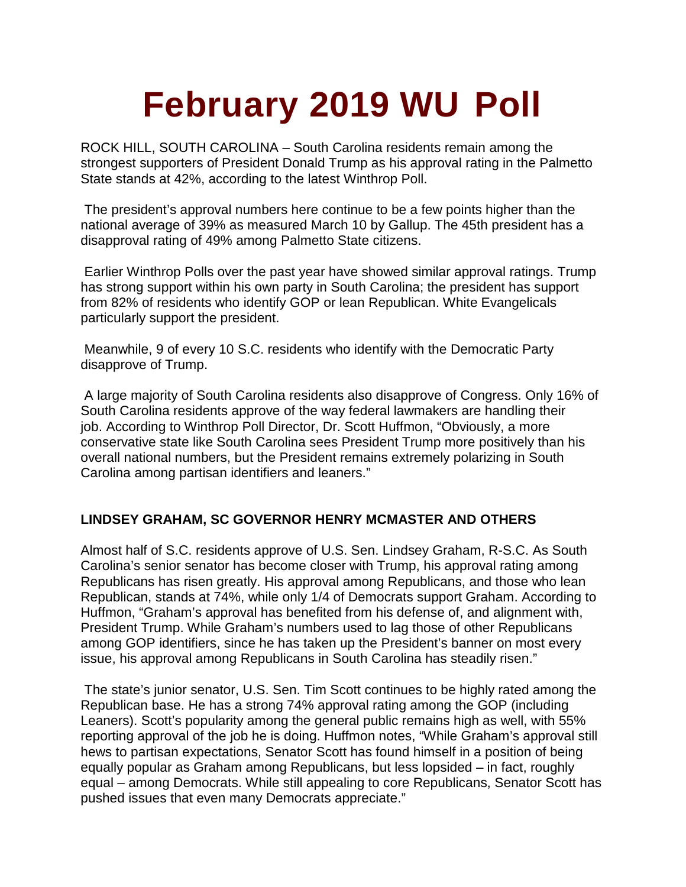# **February 2019 WU Poll**

ROCK HILL, SOUTH CAROLINA – South Carolina residents remain among the strongest supporters of President Donald Trump as his approval rating in the Palmetto State stands at 42%, according to the latest Winthrop Poll.

The president's approval numbers here continue to be a few points higher than the national average of 39% as measured March 10 by Gallup. The 45th president has a disapproval rating of 49% among Palmetto State citizens.

Earlier Winthrop Polls over the past year have showed similar approval ratings. Trump has strong support within his own party in South Carolina; the president has support from 82% of residents who identify GOP or lean Republican. White Evangelicals particularly support the president.

Meanwhile, 9 of every 10 S.C. residents who identify with the Democratic Party disapprove of Trump.

A large majority of South Carolina residents also disapprove of Congress. Only 16% of South Carolina residents approve of the way federal lawmakers are handling their job. According to Winthrop Poll Director, Dr. Scott Huffmon, "Obviously, a more conservative state like South Carolina sees President Trump more positively than his overall national numbers, but the President remains extremely polarizing in South Carolina among partisan identifiers and leaners."

### **LINDSEY GRAHAM, SC GOVERNOR HENRY MCMASTER AND OTHERS**

Almost half of S.C. residents approve of U.S. Sen. Lindsey Graham, R-S.C. As South Carolina's senior senator has become closer with Trump, his approval rating among Republicans has risen greatly. His approval among Republicans, and those who lean Republican, stands at 74%, while only 1/4 of Democrats support Graham. According to Huffmon, "Graham's approval has benefited from his defense of, and alignment with, President Trump. While Graham's numbers used to lag those of other Republicans among GOP identifiers, since he has taken up the President's banner on most every issue, his approval among Republicans in South Carolina has steadily risen."

The state's junior senator, U.S. Sen. Tim Scott continues to be highly rated among the Republican base. He has a strong 74% approval rating among the GOP (including Leaners). Scott's popularity among the general public remains high as well, with 55% reporting approval of the job he is doing. Huffmon notes, "While Graham's approval still hews to partisan expectations, Senator Scott has found himself in a position of being equally popular as Graham among Republicans, but less lopsided – in fact, roughly equal – among Democrats. While still appealing to core Republicans, Senator Scott has pushed issues that even many Democrats appreciate."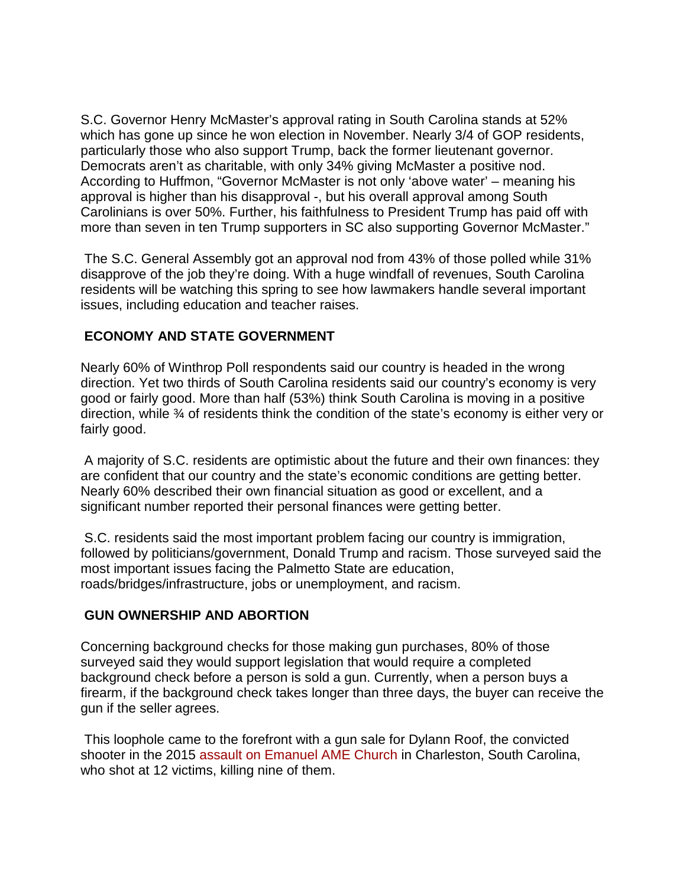S.C. Governor Henry McMaster's approval rating in South Carolina stands at 52% which has gone up since he won election in November. Nearly 3/4 of GOP residents, particularly those who also support Trump, back the former lieutenant governor. Democrats aren't as charitable, with only 34% giving McMaster a positive nod. According to Huffmon, "Governor McMaster is not only 'above water' – meaning his approval is higher than his disapproval -, but his overall approval among South Carolinians is over 50%. Further, his faithfulness to President Trump has paid off with more than seven in ten Trump supporters in SC also supporting Governor McMaster."

The S.C. General Assembly got an approval nod from 43% of those polled while 31% disapprove of the job they're doing. With a huge windfall of revenues, South Carolina residents will be watching this spring to see how lawmakers handle several important issues, including education and teacher raises.

# **ECONOMY AND STATE GOVERNMENT**

Nearly 60% of Winthrop Poll respondents said our country is headed in the wrong direction. Yet two thirds of South Carolina residents said our country's economy is very good or fairly good. More than half (53%) think South Carolina is moving in a positive direction, while ¾ of residents think the condition of the state's economy is either very or fairly good.

A majority of S.C. residents are optimistic about the future and their own finances: they are confident that our country and the state's economic conditions are getting better. Nearly 60% described their own financial situation as good or excellent, and a significant number reported their personal finances were getting better.

S.C. residents said the most important problem facing our country is immigration, followed by politicians/government, Donald Trump and racism. Those surveyed said the most important issues facing the Palmetto State are education, roads/bridges/infrastructure, jobs or unemployment, and racism.

# **GUN OWNERSHIP AND ABORTION**

Concerning background checks for those making gun purchases, 80% of those surveyed said they would support legislation that would require a completed background check before a person is sold a gun. Currently, when a person buys a firearm, if the background check takes longer than three days, the buyer can receive the gun if the seller agrees.

This loophole came to the forefront with a gun sale for Dylann Roof, the convicted shooter in the 2015 [assault on Emanuel AME Church](https://www.cbsnews.com/charleston-shooting/) in Charleston, South Carolina, who shot at 12 victims, killing nine of them.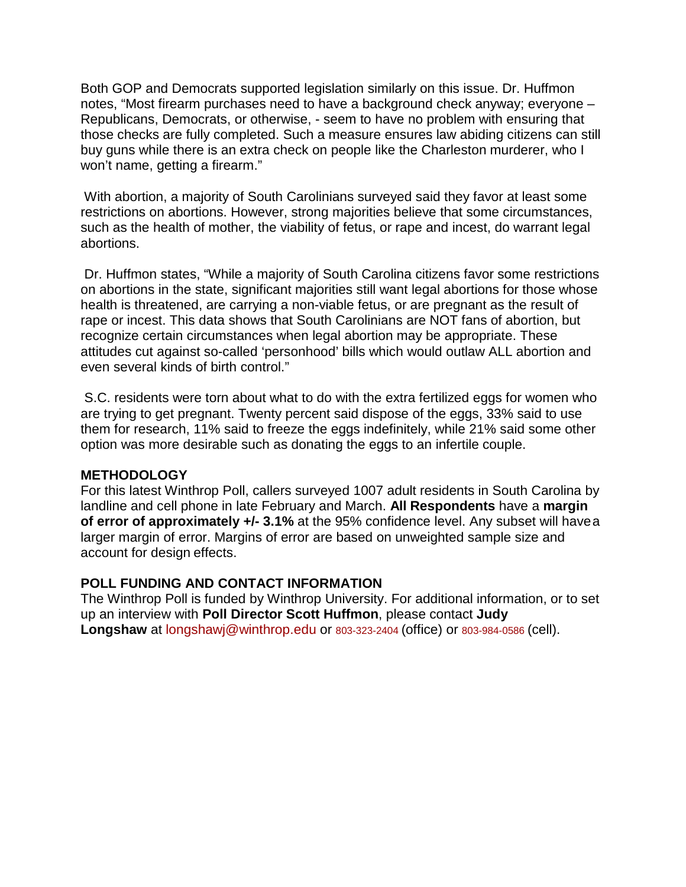Both GOP and Democrats supported legislation similarly on this issue. Dr. Huffmon notes, "Most firearm purchases need to have a background check anyway; everyone – Republicans, Democrats, or otherwise, - seem to have no problem with ensuring that those checks are fully completed. Such a measure ensures law abiding citizens can still buy guns while there is an extra check on people like the Charleston murderer, who I won't name, getting a firearm."

With abortion, a majority of South Carolinians surveyed said they favor at least some restrictions on abortions. However, strong majorities believe that some circumstances, such as the health of mother, the viability of fetus, or rape and incest, do warrant legal abortions.

Dr. Huffmon states, "While a majority of South Carolina citizens favor some restrictions on abortions in the state, significant majorities still want legal abortions for those whose health is threatened, are carrying a non-viable fetus, or are pregnant as the result of rape or incest. This data shows that South Carolinians are NOT fans of abortion, but recognize certain circumstances when legal abortion may be appropriate. These attitudes cut against so-called 'personhood' bills which would outlaw ALL abortion and even several kinds of birth control."

S.C. residents were torn about what to do with the extra fertilized eggs for women who are trying to get pregnant. Twenty percent said dispose of the eggs, 33% said to use them for research, 11% said to freeze the eggs indefinitely, while 21% said some other option was more desirable such as donating the eggs to an infertile couple.

### **METHODOLOGY**

For this latest Winthrop Poll, callers surveyed 1007 adult residents in South Carolina by landline and cell phone in late February and March. **All Respondents** have a **margin of error of approximately +/- 3.1%** at the 95% confidence level. Any subset will havea larger margin of error. Margins of error are based on unweighted sample size and account for design effects.

### **POLL FUNDING AND CONTACT INFORMATION**

The Winthrop Poll is funded by Winthrop University. For additional information, or to set up an interview with **Poll Director Scott Huffmon**, please contact **Judy Longshaw** at [longshawj@winthrop.edu](mailto:longshawj@winthrop.edu) or 803-323-2404 (office) or 803-984-0586 (cell).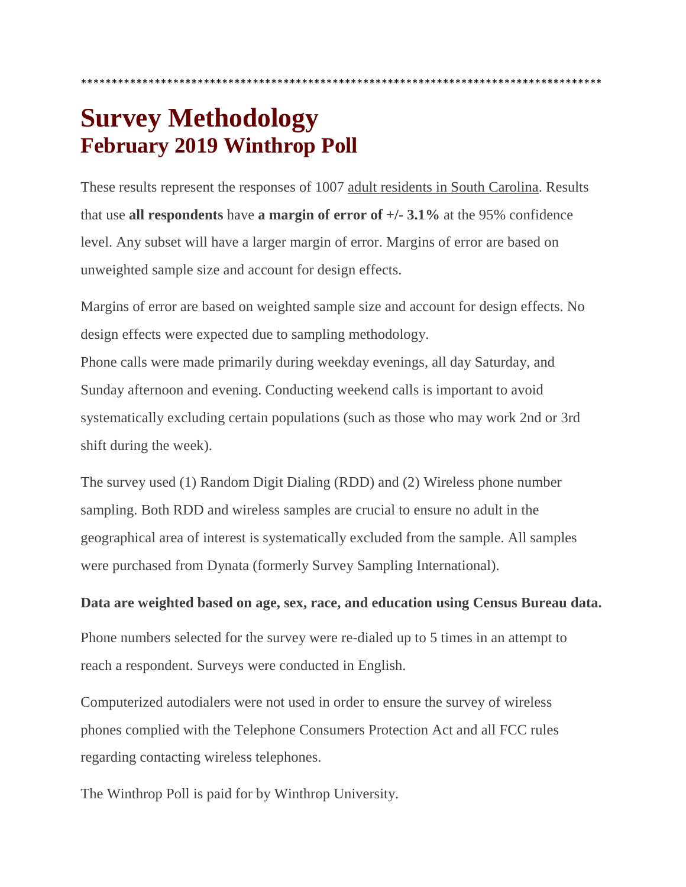# **Survey Methodology February 2019 Winthrop Poll**

These results represent the responses of 1007 adult residents in South Carolina. Results that use **all respondents** have **a margin of error of +/- 3.1%** at the 95% confidence level. Any subset will have a larger margin of error. Margins of error are based on unweighted sample size and account for design effects.

\*\*\*\*\*\*\*\*\*\*\*\*\*\*\*\*\*\*\*\*\*\*\*\*\*\*\*\*\*\*\*\*\*\*\*\*\*\*\*\*\*\*\*\*\*\*\*\*\*\*\*\*\*\*\*\*\*\*\*\*\*\*\*\*\*\*\*\*\*\*\*\*\*\*\*\*\*\*\*\*\*\*\*\*\*

Margins of error are based on weighted sample size and account for design effects. No design effects were expected due to sampling methodology.

Phone calls were made primarily during weekday evenings, all day Saturday, and Sunday afternoon and evening. Conducting weekend calls is important to avoid systematically excluding certain populations (such as those who may work 2nd or 3rd shift during the week).

The survey used (1) Random Digit Dialing (RDD) and (2) Wireless phone number sampling. Both RDD and wireless samples are crucial to ensure no adult in the geographical area of interest is systematically excluded from the sample. All samples were purchased from Dynata (formerly Survey Sampling International).

# **Data are weighted based on age, sex, race, and education using Census Bureau data.**

Phone numbers selected for the survey were re-dialed up to 5 times in an attempt to reach a respondent. Surveys were conducted in English.

Computerized autodialers were not used in order to ensure the survey of wireless phones complied with the Telephone Consumers Protection Act and all FCC rules regarding contacting wireless telephones.

The Winthrop Poll is paid for by Winthrop University.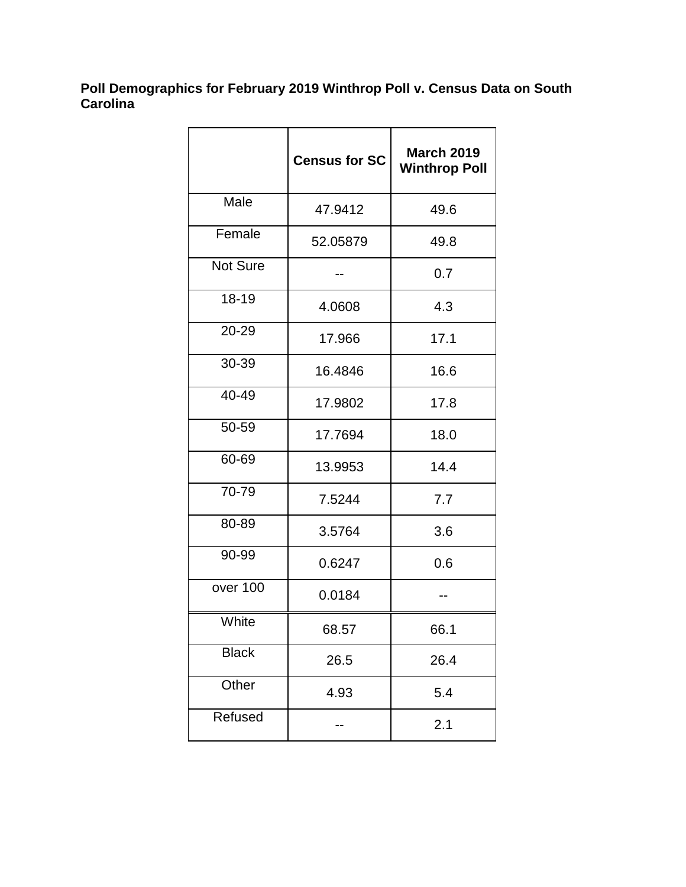### **Poll Demographics for February 2019 Winthrop Poll v. Census Data on South Carolina**

|              | <b>Census for SC</b> | <b>March 2019</b><br><b>Winthrop Poll</b> |
|--------------|----------------------|-------------------------------------------|
| Male         | 47.9412              | 49.6                                      |
| Female       | 52.05879             | 49.8                                      |
| Not Sure     |                      | 0.7                                       |
| 18-19        | 4.0608               | 4.3                                       |
| 20-29        | 17.966               | 17.1                                      |
| 30-39        | 16.4846              | 16.6                                      |
| 40-49        | 17.9802              | 17.8                                      |
| 50-59        | 17.7694              | 18.0                                      |
| 60-69        | 13.9953              | 14.4                                      |
| 70-79        | 7.5244               | 7.7                                       |
| 80-89        | 3.5764               | 3.6                                       |
| 90-99        | 0.6247               | 0.6                                       |
| over 100     | 0.0184               |                                           |
| White        | 68.57                | 66.1                                      |
| <b>Black</b> | 26.5                 | 26.4                                      |
| Other        | 4.93                 | 5.4                                       |
| Refused      |                      | 2.1                                       |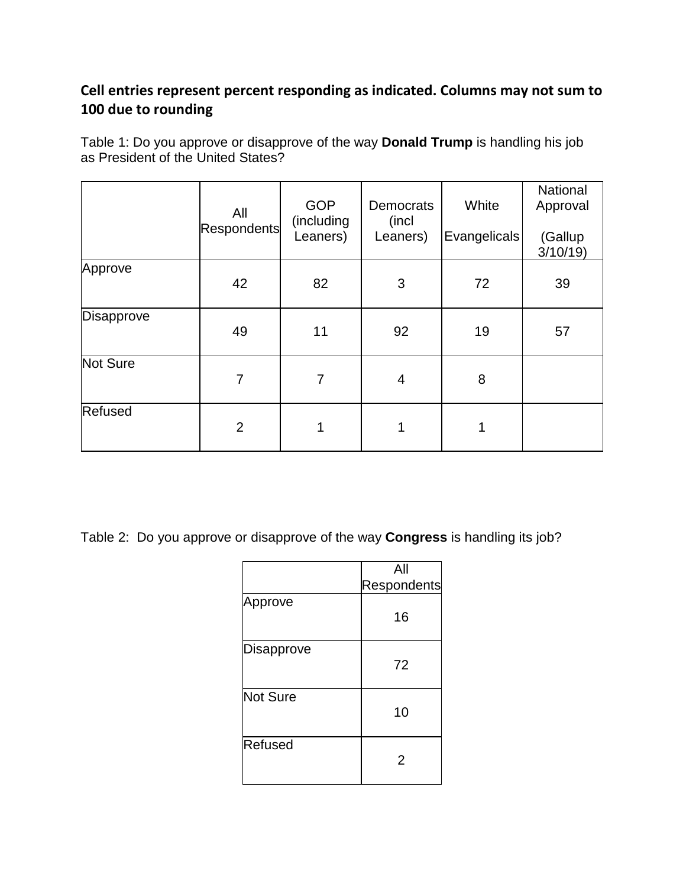# **Cell entries represent percent responding as indicated. Columns may not sum to 100 due to rounding**

Table 1: Do you approve or disapprove of the way **Donald Trump** is handling his job as President of the United States?

|                   | All<br>Respondents | <b>GOP</b><br>(including<br>Leaners) | <b>Democrats</b><br>(incl<br>Leaners) | White<br>Evangelicals | National<br>Approval<br>(Gallup<br>3/10/19 |
|-------------------|--------------------|--------------------------------------|---------------------------------------|-----------------------|--------------------------------------------|
| Approve           | 42                 | 82                                   | 3                                     | 72                    | 39                                         |
| <b>Disapprove</b> | 49                 | 11                                   | 92                                    | 19                    | 57                                         |
| <b>Not Sure</b>   | 7                  | 7                                    | 4                                     | 8                     |                                            |
| Refused           | $\overline{2}$     | 1                                    | 1                                     | 1                     |                                            |

Table 2: Do you approve or disapprove of the way **Congress** is handling its job?

|            | All                |
|------------|--------------------|
|            | <b>Respondents</b> |
| Approve    | 16                 |
| Disapprove | 72                 |
| Not Sure   | 10                 |
| Refused    | 2                  |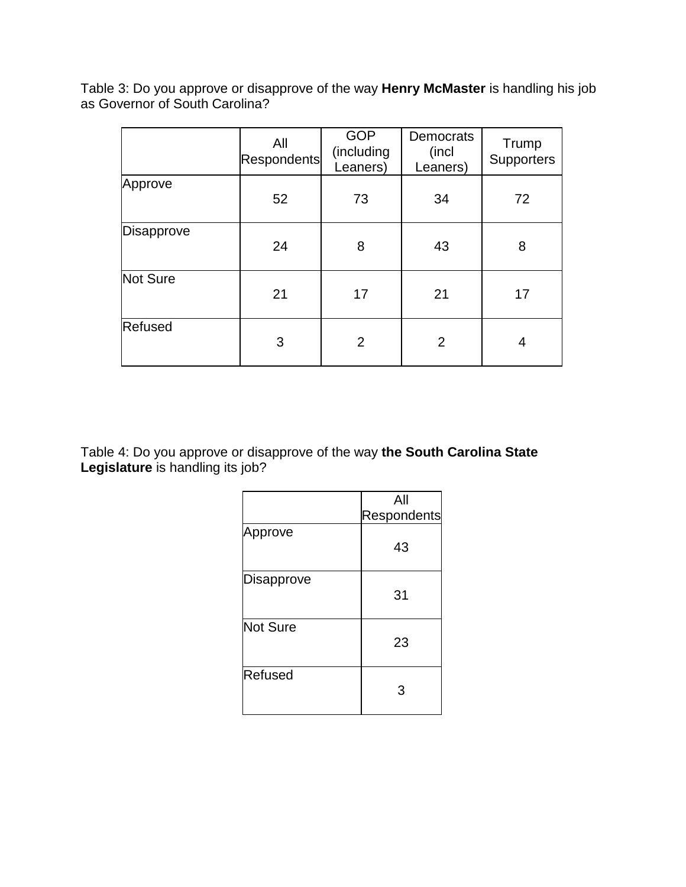Table 3: Do you approve or disapprove of the way **Henry McMaster** is handling his job as Governor of South Carolina?

|            | All<br>Respondents | <b>GOP</b><br>(including<br>Leaners) | <b>Democrats</b><br>(incl<br>Leaners) | Trump<br><b>Supporters</b> |
|------------|--------------------|--------------------------------------|---------------------------------------|----------------------------|
| Approve    | 52                 | 73                                   | 34                                    | 72                         |
| Disapprove | 24                 | 8                                    | 43                                    | 8                          |
| Not Sure   | 21                 | 17                                   | 21                                    | 17                         |
| Refused    | 3                  | $\overline{2}$                       | $\overline{2}$                        | 4                          |

Table 4: Do you approve or disapprove of the way **the South Carolina State Legislature** is handling its job?

|                 | All         |
|-----------------|-------------|
|                 | Respondents |
| Approve         | 43          |
| Disapprove      | 31          |
| <b>Not Sure</b> | 23          |
| <b>Refused</b>  | 3           |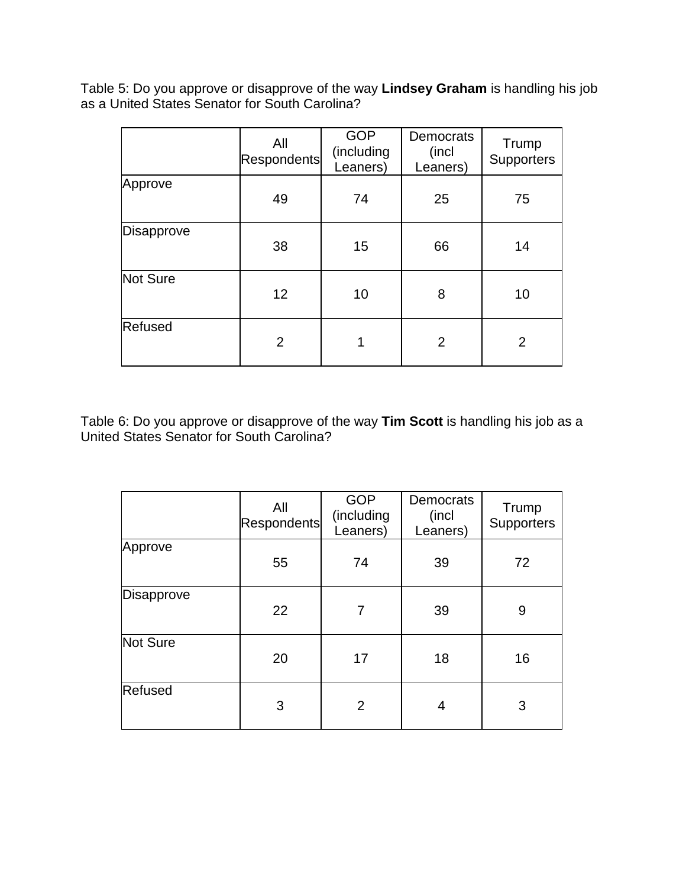Table 5: Do you approve or disapprove of the way **Lindsey Graham** is handling his job as a United States Senator for South Carolina?

|            | All<br>Respondents | <b>GOP</b><br>(including<br>Leaners) | <b>Democrats</b><br>(incl<br>Leaners) | Trump<br>Supporters |
|------------|--------------------|--------------------------------------|---------------------------------------|---------------------|
| Approve    | 49                 | 74                                   | 25                                    | 75                  |
| Disapprove | 38                 | 15                                   | 66                                    | 14                  |
| Not Sure   | 12                 | 10                                   | 8                                     | 10                  |
| Refused    | $\overline{2}$     |                                      | $\overline{2}$                        | $\overline{2}$      |

Table 6: Do you approve or disapprove of the way **Tim Scott** is handling his job as a United States Senator for South Carolina?

|            | All<br>Respondents | <b>GOP</b><br>(including<br>Leaners) | <b>Democrats</b><br>(incl<br>Leaners) | Trump<br><b>Supporters</b> |
|------------|--------------------|--------------------------------------|---------------------------------------|----------------------------|
| Approve    | 55                 | 74                                   | 39                                    | 72                         |
| Disapprove | 22                 | 7                                    | 39                                    | 9                          |
| Not Sure   | 20                 | 17                                   | 18                                    | 16                         |
| Refused    | 3                  | $\overline{2}$                       | 4                                     | 3                          |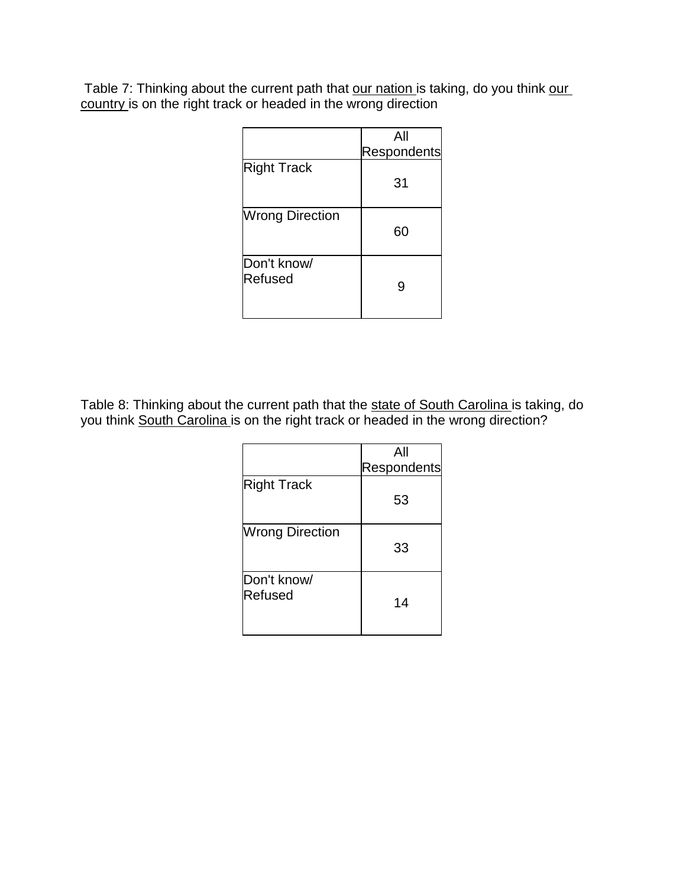Table 7: Thinking about the current path that our nation is taking, do you think our country is on the right track or headed in the wrong direction

|                        | All         |
|------------------------|-------------|
|                        | Respondents |
| <b>Right Track</b>     | 31          |
| <b>Wrong Direction</b> | 60          |
| Don't know/<br>Refused |             |

Table 8: Thinking about the current path that the state of South Carolina is taking, do you think South Carolina is on the right track or headed in the wrong direction?

|                        | All         |
|------------------------|-------------|
|                        | Respondents |
| <b>Right Track</b>     | 53          |
| <b>Wrong Direction</b> | 33          |
| Don't know/<br>Refused | 14          |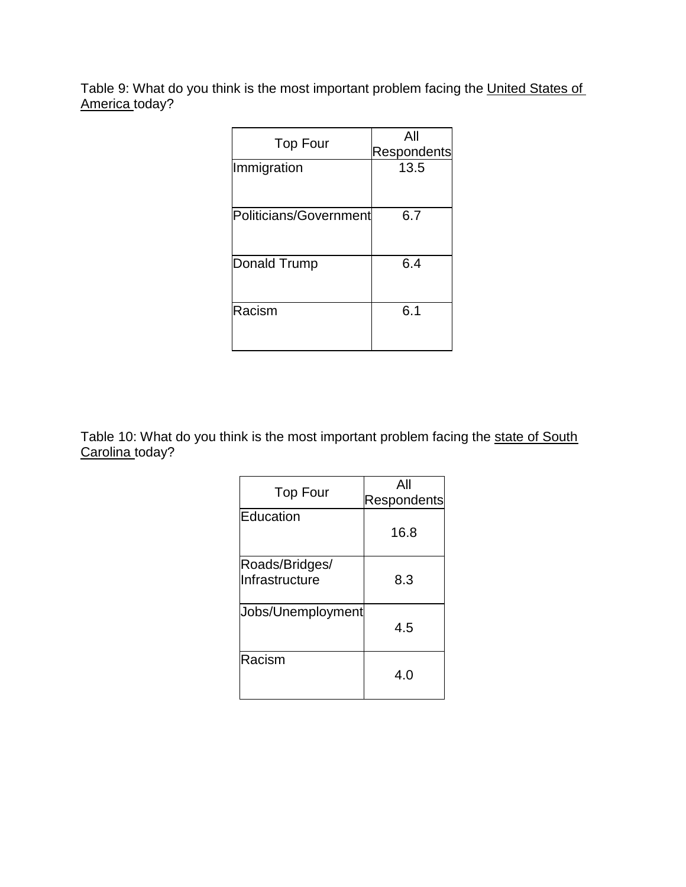Table 9: What do you think is the most important problem facing the United States of America today?

| <b>Respondents</b> |
|--------------------|
| 13.5               |
|                    |
|                    |
|                    |
|                    |
|                    |
|                    |
|                    |
|                    |

Table 10: What do you think is the most important problem facing the state of South Carolina today?

| <b>Top Four</b>                  | All<br><b>Respondents</b> |
|----------------------------------|---------------------------|
| Education                        | 16.8                      |
| Roads/Bridges/<br>Infrastructure | 8.3                       |
| Jobs/Unemployment                | 4.5                       |
| Racism                           | 4.O                       |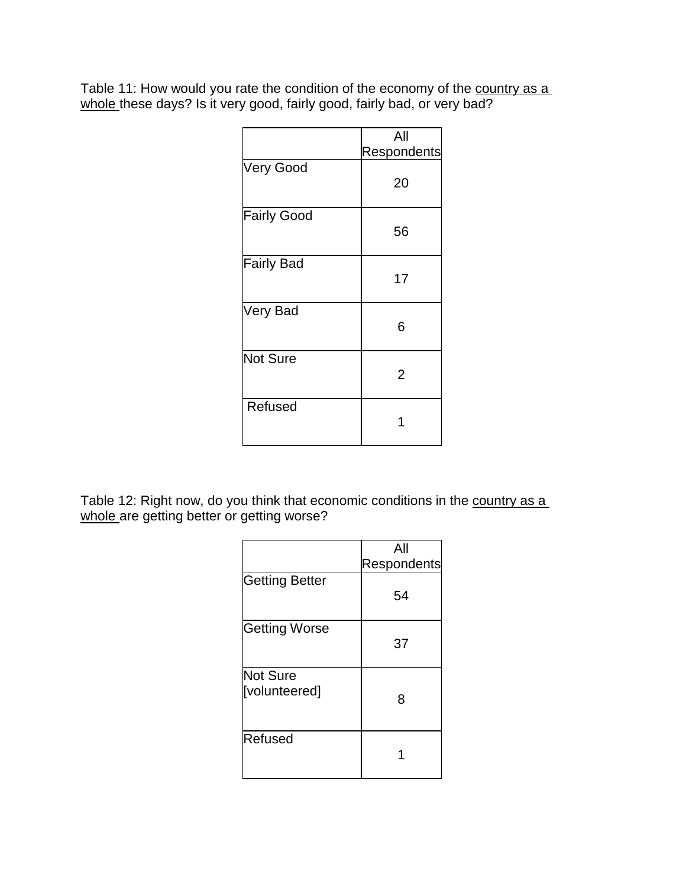Table 11: How would you rate the condition of the economy of the <u>country as a</u> <u>whole t</u>hese days? Is it very good, fairly good, fairly bad, or very bad?

|                    | All            |
|--------------------|----------------|
|                    | Respondents    |
| <b>Very Good</b>   | 20             |
| <b>Fairly Good</b> | 56             |
| <b>Fairly Bad</b>  | 17             |
| Very Bad           | 6              |
| <b>Not Sure</b>    | $\overline{2}$ |
| Refused            |                |

Table 12: Right now, do you think that economic conditions in the country as a whole are getting better or getting worse?

|                           | All         |
|---------------------------|-------------|
|                           | Respondents |
| <b>Getting Better</b>     | 54          |
| <b>Getting Worse</b>      | 37          |
| Not Sure<br>[volunteered] | 8           |
| Refused                   |             |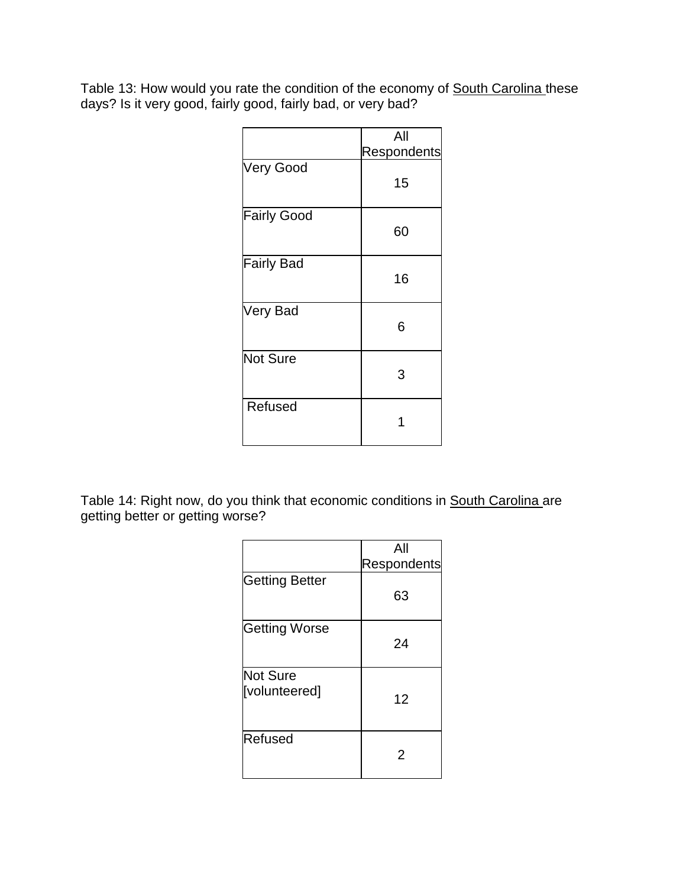Table 13: How would you rate the condition of the economy of <u>South Carolina t</u>hese days? Is it very good, fairly good, fairly bad, or very bad?

|                    | All         |
|--------------------|-------------|
|                    | Respondents |
| <b>Very Good</b>   | 15          |
| <b>Fairly Good</b> | 60          |
| <b>Fairly Bad</b>  | 16          |
| Very Bad           | 6           |
| <b>Not Sure</b>    | 3           |
| Refused            |             |

Table 14: Right now, do you think that economic conditions in <u>South Carolina</u> are getting better or getting worse?

|                           | All         |
|---------------------------|-------------|
|                           | Respondents |
| Getting Better            | 63          |
| <b>Getting Worse</b>      | 24          |
| Not Sure<br>[volunteered] | 12          |
| Refused                   | 2           |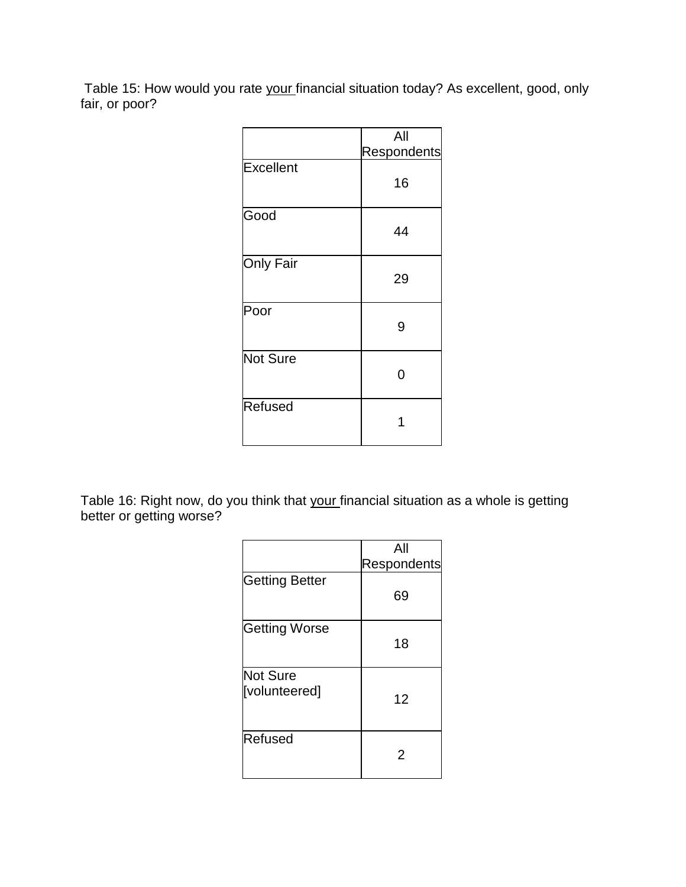Table 15: How would you rate your financial situation today? As excellent, good, only fair, or poor?

|                  | All         |
|------------------|-------------|
|                  | Respondents |
| <b>Excellent</b> | 16          |
| Good             | 44          |
| <b>Only Fair</b> | 29          |
| Poor             | 9           |
| <b>Not Sure</b>  | ი           |
| <b>Refused</b>   |             |

Table 16: Right now, do you think that <u>your f</u>inancial situation as a whole is getting better or getting worse?

|                           | All         |
|---------------------------|-------------|
|                           | Respondents |
| Getting Better            | 69          |
| <b>Getting Worse</b>      | 18          |
| Not Sure<br>[volunteered] | 12          |
| Refused                   | 2           |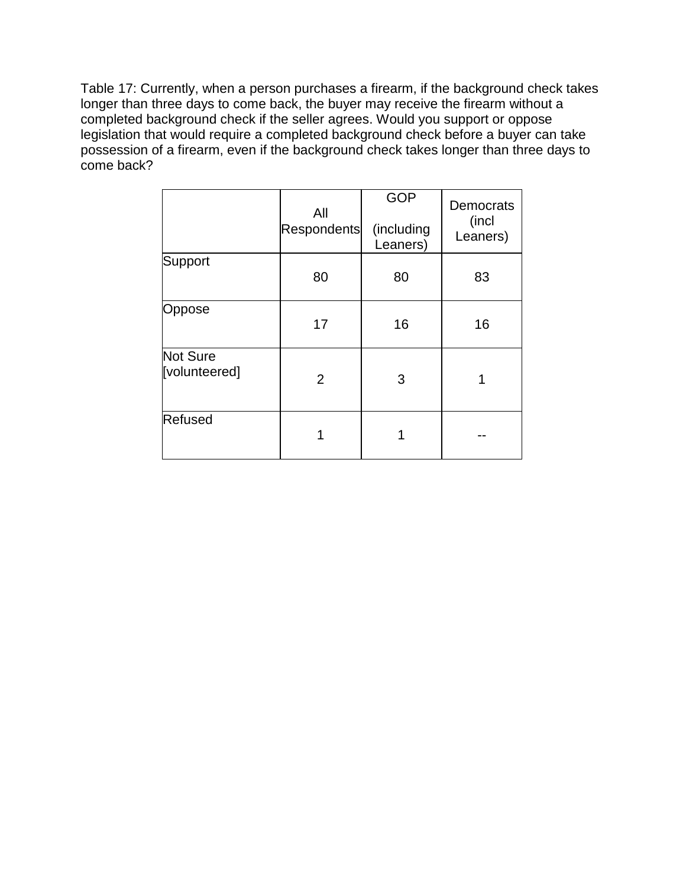Table 17: Currently, when a person purchases a firearm, if the background check takes longer than three days to come back, the buyer may receive the firearm without a completed background check if the seller agrees. Would you support or oppose legislation that would require a completed background check before a buyer can take possession of a firearm, even if the background check takes longer than three days to come back?

|                           | All<br>Respondents | <b>GOP</b><br>(including<br>Leaners) | Democrats<br>(incl<br>Leaners) |
|---------------------------|--------------------|--------------------------------------|--------------------------------|
| Support                   | 80                 | 80                                   | 83                             |
| Oppose                    | 17                 | 16                                   | 16                             |
| Not Sure<br>[volunteered] | 2                  | 3                                    |                                |
| Refused                   |                    |                                      |                                |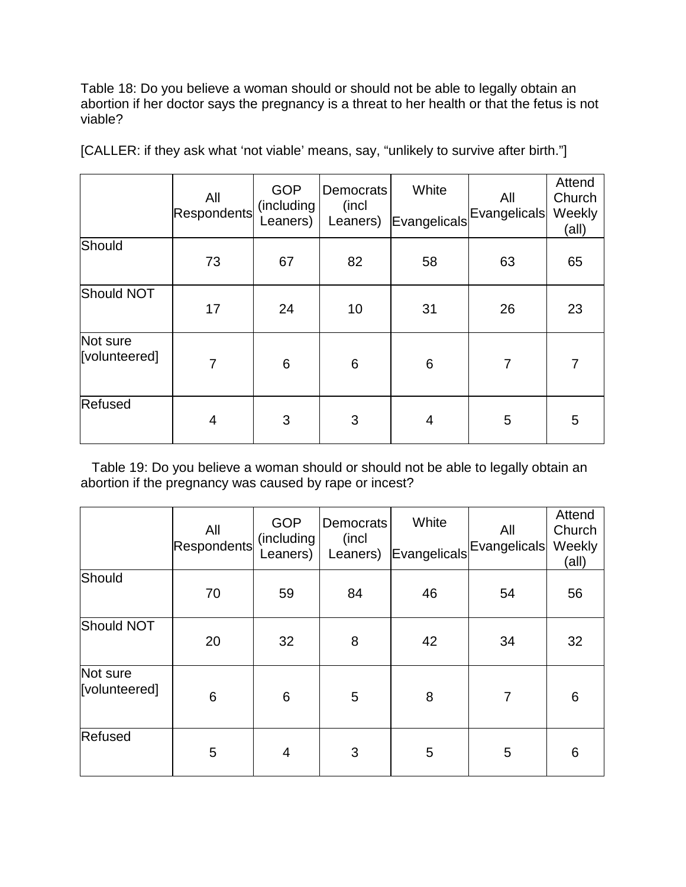Table 18: Do you believe a woman should or should not be able to legally obtain an abortion if her doctor says the pregnancy is a threat to her health or that the fetus is not viable?

|                           | All<br><b>Respondents</b> | <b>GOP</b><br>(including<br>Leaners) | <b>Democrats</b><br>(incl<br>Leaners) | White<br>Evangelicals | All<br>Evangelicals | Attend<br>Church<br>Weekly<br>(all) |
|---------------------------|---------------------------|--------------------------------------|---------------------------------------|-----------------------|---------------------|-------------------------------------|
| Should                    | 73                        | 67                                   | 82                                    | 58                    | 63                  | 65                                  |
| Should NOT                | 17                        | 24                                   | 10                                    | 31                    | 26                  | 23                                  |
| Not sure<br>[volunteered] | 7                         | $6\phantom{1}6$                      | 6                                     | $6\phantom{1}6$       | $\overline{7}$      |                                     |
| Refused                   | 4                         | 3                                    | 3                                     | 4                     | 5                   | 5                                   |

[CALLER: if they ask what 'not viable' means, say, "unlikely to survive after birth."]

Table 19: Do you believe a woman should or should not be able to legally obtain an abortion if the pregnancy was caused by rape or incest?

|                           | All<br><b>Respondents</b> | <b>GOP</b><br>(including<br>Leaners) | Democrats<br>(incl<br>Leaners) | White<br>Evangelicals | All<br>Evangelicals | Attend<br>Church<br>Weekly<br>(all) |
|---------------------------|---------------------------|--------------------------------------|--------------------------------|-----------------------|---------------------|-------------------------------------|
| Should                    | 70                        | 59                                   | 84                             | 46                    | 54                  | 56                                  |
| Should NOT                | 20                        | 32                                   | 8                              | 42                    | 34                  | 32                                  |
| Not sure<br>[volunteered] | $6\phantom{1}6$           | 6                                    | 5                              | 8                     | $\overline{7}$      | 6                                   |
| Refused                   | 5                         | $\overline{4}$                       | 3                              | 5                     | 5                   | 6                                   |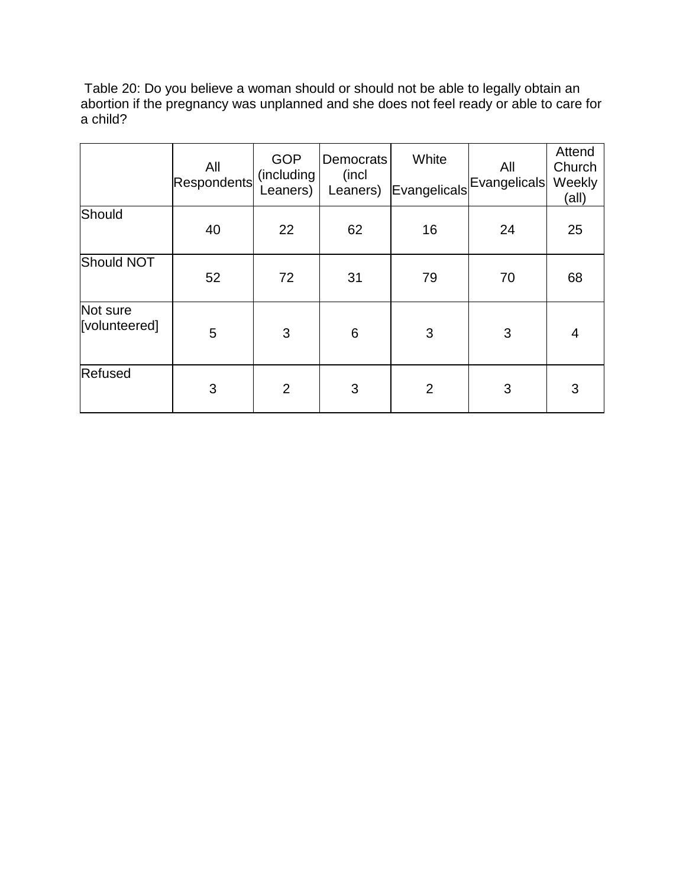Table 20: Do you believe a woman should or should not be able to legally obtain an abortion if the pregnancy was unplanned and she does not feel ready or able to care for a child?

|                           | All<br>Respondents | <b>GOP</b><br>(including<br>Leaners) | Democrats<br>(incl<br>Leaners) | White<br>Evangelicals | All<br>Evangelicals | Attend<br>Church<br>Weekly<br>(all) |
|---------------------------|--------------------|--------------------------------------|--------------------------------|-----------------------|---------------------|-------------------------------------|
| Should                    | 40                 | 22                                   | 62                             | 16                    | 24                  | 25                                  |
| Should NOT                | 52                 | 72                                   | 31                             | 79                    | 70                  | 68                                  |
| Not sure<br>[volunteered] | 5                  | 3                                    | 6                              | 3                     | 3                   | 4                                   |
| Refused                   | 3                  | $\overline{2}$                       | 3                              | $\overline{2}$        | 3                   | 3                                   |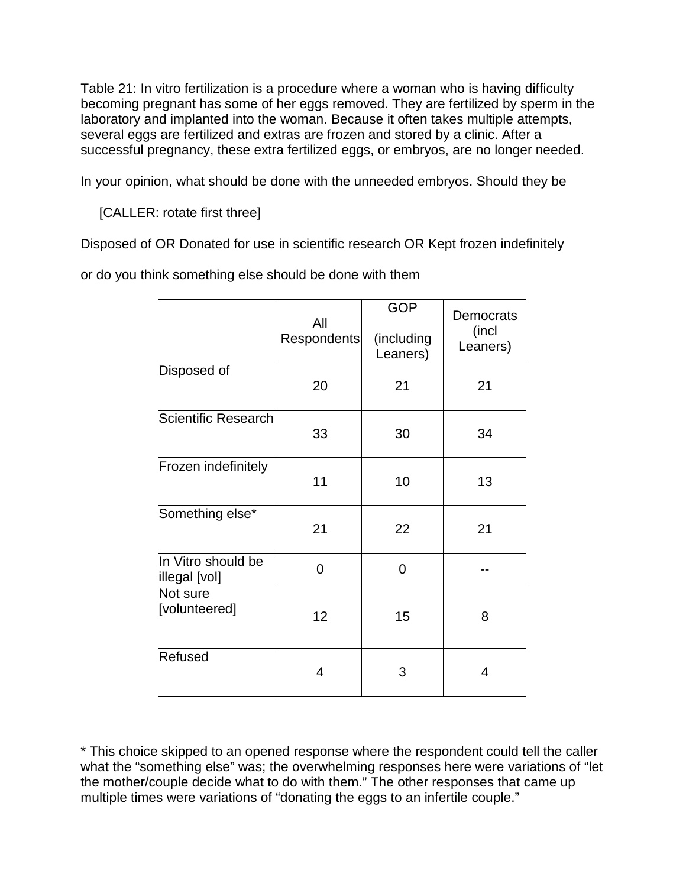Table 21: In vitro fertilization is a procedure where a woman who is having difficulty becoming pregnant has some of her eggs removed. They are fertilized by sperm in the laboratory and implanted into the woman. Because it often takes multiple attempts, several eggs are fertilized and extras are frozen and stored by a clinic. After a successful pregnancy, these extra fertilized eggs, or embryos, are no longer needed.

In your opinion, what should be done with the unneeded embryos. Should they be

[CALLER: rotate first three]

Disposed of OR Donated for use in scientific research OR Kept frozen indefinitely

or do you think something else should be done with them

|                                     | All<br>Respondents | <b>GOP</b><br>(including<br>Leaners) | <b>Democrats</b><br>(incl<br>Leaners) |  |
|-------------------------------------|--------------------|--------------------------------------|---------------------------------------|--|
| Disposed of                         | 20                 | 21                                   | 21                                    |  |
| Scientific Research                 | 33                 | 30                                   | 34                                    |  |
| Frozen indefinitely                 | 11                 | 10                                   | 13                                    |  |
| Something else*                     | 21                 | 22                                   | 21                                    |  |
| In Vitro should be<br>illegal [vol] | 0                  | 0                                    |                                       |  |
| Not sure<br>[volunteered]           | 12                 | 15                                   | 8                                     |  |
| Refused                             | 4                  | 3                                    | 4                                     |  |

\* This choice skipped to an opened response where the respondent could tell the caller what the "something else" was; the overwhelming responses here were variations of "let the mother/couple decide what to do with them." The other responses that came up multiple times were variations of "donating the eggs to an infertile couple."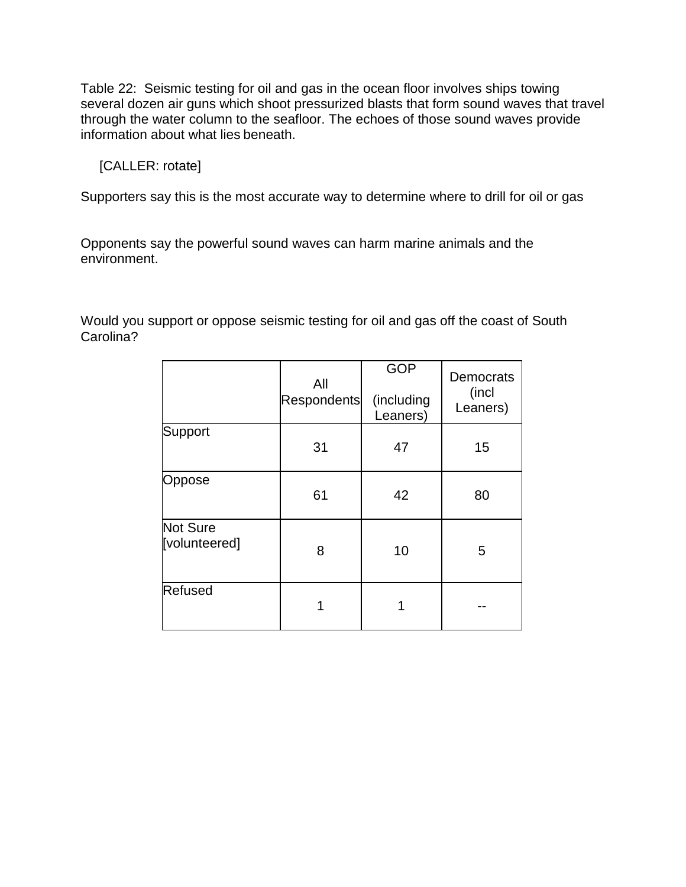Table 22: Seismic testing for oil and gas in the ocean floor involves ships towing several dozen air guns which shoot pressurized blasts that form sound waves that travel through the water column to the seafloor. The echoes of those sound waves provide information about what lies beneath.

[CALLER: rotate]

Supporters say this is the most accurate way to determine where to drill for oil or gas

Opponents say the powerful sound waves can harm marine animals and the environment.

Would you support or oppose seismic testing for oil and gas off the coast of South Carolina?

|                                  | All<br>Respondents | <b>GOP</b><br>(including<br>Leaners) | <b>Democrats</b><br>(incl<br>Leaners) |
|----------------------------------|--------------------|--------------------------------------|---------------------------------------|
| Support                          | 31                 | 47                                   | 15                                    |
| Oppose                           | 61                 | 42                                   | 80                                    |
| <b>Not Sure</b><br>[volunteered] | 8                  | 10                                   | 5                                     |
| Refused                          |                    |                                      |                                       |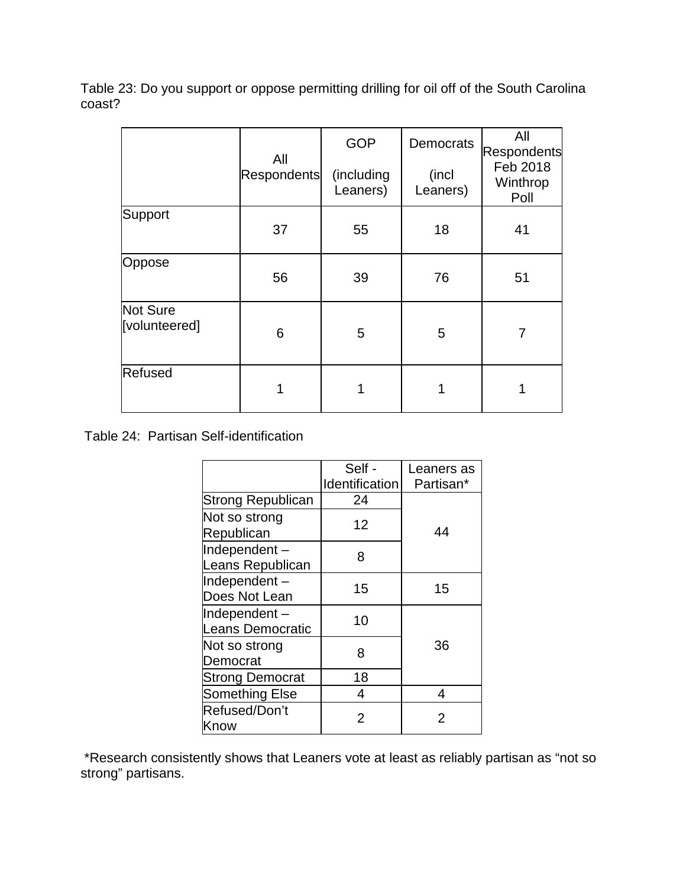Table 23: Do you support or oppose permitting drilling for oil off of the South Carolina coast?

|                           |             | <b>GOP</b><br>All      |                   | All<br><b>Respondents</b>    |
|---------------------------|-------------|------------------------|-------------------|------------------------------|
|                           | Respondents | (including<br>Leaners) | (incl<br>Leaners) | Feb 2018<br>Winthrop<br>Poll |
| Support                   | 37          | 55                     | 18                | 41                           |
| Oppose                    | 56          | 39                     | 76                | 51                           |
| Not Sure<br>[volunteered] | 6           | 5                      | 5                 | 7                            |
| Refused                   |             |                        |                   |                              |

Table 24: Partisan Self-identification

|                                         | Self -<br>Identification | Leaners as<br>Partisan* |
|-----------------------------------------|--------------------------|-------------------------|
| <b>Strong Republican</b>                | 24                       |                         |
| Not so strong<br>Republican             | 12                       | 44                      |
| Independent-<br>Leans Republican        | 8                        |                         |
| Independent-<br>Does Not Lean           | 15                       | 15                      |
| Independent-<br><b>Leans Democratic</b> | 10                       |                         |
| Not so strong<br>Democrat               | 8                        | 36                      |
| <b>Strong Democrat</b>                  | 18                       |                         |
| <b>Something Else</b>                   | 4                        | 4                       |
| Refused/Don't<br>Know                   | 2                        | 2                       |

\*Research consistently shows that Leaners vote at least as reliably partisan as "not so strong" partisans.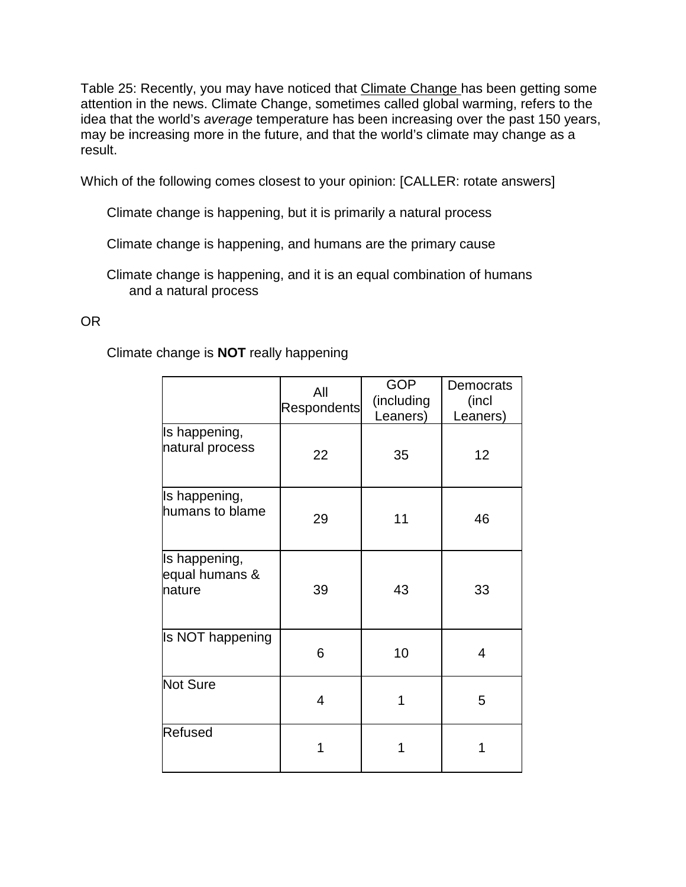Table 25: Recently, you may have noticed that Climate Change has been getting some attention in the news. Climate Change, sometimes called global warming, refers to the idea that the world's *average* temperature has been increasing over the past 150 years, may be increasing more in the future, and that the world's climate may change as a result.

Which of the following comes closest to your opinion: [CALLER: rotate answers]

Climate change is happening, but it is primarily a natural process

Climate change is happening, and humans are the primary cause

Climate change is happening, and it is an equal combination of humans and a natural process

# OR

Climate change is **NOT** really happening

|                                           | All<br>Respondents | <b>GOP</b><br>(including<br>Leaners) | Democrats<br>(incl<br>Leaners) |
|-------------------------------------------|--------------------|--------------------------------------|--------------------------------|
| Is happening,<br>natural process          | 22                 | 35                                   | 12                             |
| Is happening,<br>humans to blame          | 29                 | 11                                   | 46                             |
| Is happening,<br>equal humans &<br>nature | 39                 | 43                                   | 33                             |
| Is NOT happening                          | 6                  | 10                                   | 4                              |
| Not Sure                                  | 4                  | 1                                    | 5                              |
| <b>Refused</b>                            |                    | 1                                    | 1                              |